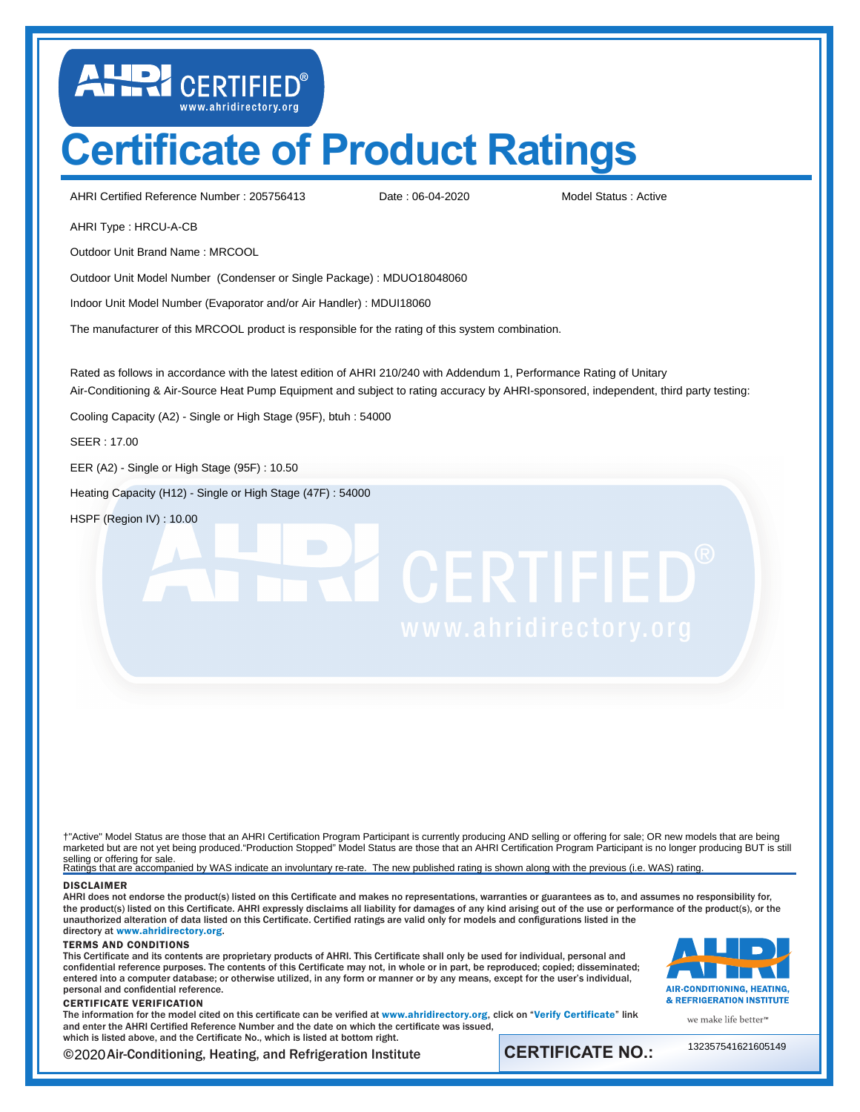## **Certificate of Product Ratings**

AHRI Certified Reference Number: 205756413 Date: 06-04-2020 Model Status: Active

LUD CERTIFIED®

Date : 06-04-2020

AHRI Type : HRCU-A-CB

Outdoor Unit Brand Name : MRCOOL

Outdoor Unit Model Number (Condenser or Single Package) : MDUO18048060

Indoor Unit Model Number (Evaporator and/or Air Handler) : MDUI18060

The manufacturer of this MRCOOL product is responsible for the rating of this system combination.

Rated as follows in accordance with the latest edition of AHRI 210/240 with Addendum 1, Performance Rating of Unitary Air-Conditioning & Air-Source Heat Pump Equipment and subject to rating accuracy by AHRI-sponsored, independent, third party testing:

Cooling Capacity (A2) - Single or High Stage (95F), btuh : 54000

SEER : 17.00

EER (A2) - Single or High Stage (95F) : 10.50

Heating Capacity (H12) - Single or High Stage (47F) : 54000

HSPF (Region IV) : 10.00

# **TE CERTIFIED®**

† marketed but are not yet being produced."Production Stopped" Model Status are those that an AHRI Certification Program Participant is no longer producing BUT is still selling or offering for sale.<br>Ratings that are accompanied by WAS indicate an involuntary re-rate. The new published rating is shown along with the previous (i.e. WAS) rating. †"Active" Model Status are those that an AHRI Certification Program Participant is currently producing AND selling or offering for sale; OR new models that are being

## DISCLAIMER

AHRI does not endorse the product(s) listed on this Certificate and makes no representations, warranties or guarantees as to, and assumes no responsibility for, the product(s) listed on this Certificate. AHRI expressly disclaims all liability for damages of any kind arising out of the use or performance of the product(s), or the unauthorized alteration of data listed on this Certificate. Certified ratings are valid only for models and configurations listed in the directory at <www.ahridirectory.org>.

## TERMS AND CONDITIONS

This Certificate and its contents are proprietary products of AHRI. This Certificate shall only be used for individual, personal and confidential reference purposes. The contents of this Certificate may not, in whole or in part, be reproduced; copied; disseminated; entered into a computer database; or otherwise utilized, in any form or manner or by any means, except for the user's individual, personal and confidential reference.

## CERTIFICATE VERIFICATION

The information for the model cited on this certificate can be verified at <www.ahridirectory.org>, click on "[Verify Certificate](https://www.ahridirectory.org/Certificate/Index)" link and enter the AHRI Certified Reference Number and the date on which the certificate was issued, which is listed above, and the Certificate No., which is listed at bottom right.



we make life better<sup>™</sup>

©2020 Air-Conditioning, Heating, and Refrigeration Institute **CERTIFICATE NO.:** 

132357541621605149